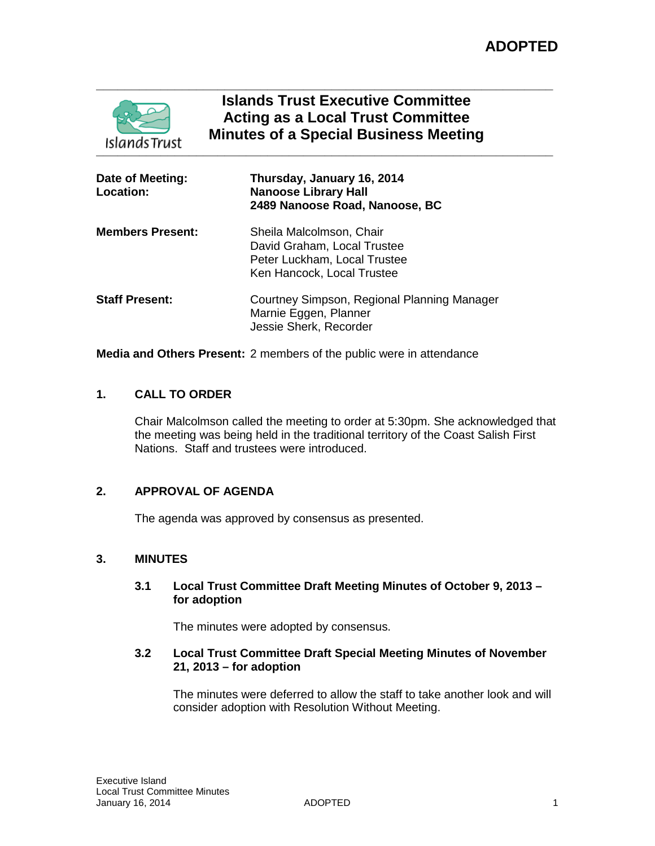

# **Islands Trust Executive Committee Acting as a Local Trust Committee Minutes of a Special Business Meeting**

| Date of Meeting:<br><b>Location:</b> | Thursday, January 16, 2014<br><b>Nanoose Library Hall</b><br>2489 Nanoose Road, Nanoose, BC                           |
|--------------------------------------|-----------------------------------------------------------------------------------------------------------------------|
| Members Present:                     | Sheila Malcolmson, Chair<br>David Graham, Local Trustee<br>Peter Luckham, Local Trustee<br>Ken Hancock, Local Trustee |
| <b>Staff Present:</b>                | Courtney Simpson, Regional Planning Manager<br>Marnie Eggen, Planner<br>Jessie Sherk, Recorder                        |

**Media and Others Present:** 2 members of the public were in attendance

# **1. CALL TO ORDER**

Chair Malcolmson called the meeting to order at 5:30pm. She acknowledged that the meeting was being held in the traditional territory of the Coast Salish First Nations. Staff and trustees were introduced.

# **2. APPROVAL OF AGENDA**

The agenda was approved by consensus as presented.

# **3. MINUTES**

### **3.1 Local Trust Committee Draft Meeting Minutes of October 9, 2013 – for adoption**

The minutes were adopted by consensus.

## **3.2 Local Trust Committee Draft Special Meeting Minutes of November 21, 2013 – for adoption**

The minutes were deferred to allow the staff to take another look and will consider adoption with Resolution Without Meeting.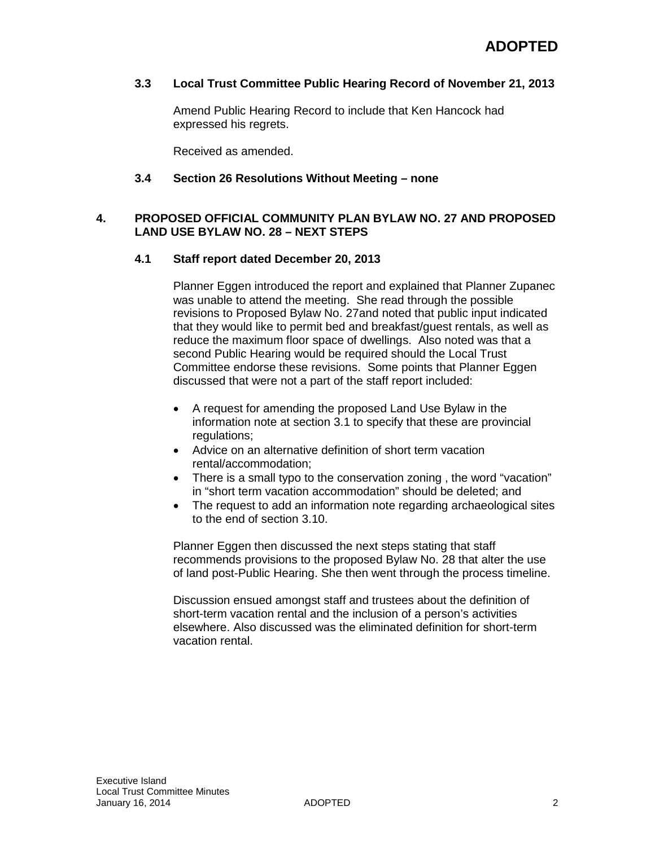## **3.3 Local Trust Committee Public Hearing Record of November 21, 2013**

Amend Public Hearing Record to include that Ken Hancock had expressed his regrets.

Received as amended.

#### **3.4 Section 26 Resolutions Without Meeting – none**

## **4. PROPOSED OFFICIAL COMMUNITY PLAN BYLAW NO. 27 AND PROPOSED LAND USE BYLAW NO. 28 – NEXT STEPS**

## **4.1 Staff report dated December 20, 2013**

Planner Eggen introduced the report and explained that Planner Zupanec was unable to attend the meeting. She read through the possible revisions to Proposed Bylaw No. 27and noted that public input indicated that they would like to permit bed and breakfast/guest rentals, as well as reduce the maximum floor space of dwellings. Also noted was that a second Public Hearing would be required should the Local Trust Committee endorse these revisions. Some points that Planner Eggen discussed that were not a part of the staff report included:

- A request for amending the proposed Land Use Bylaw in the information note at section 3.1 to specify that these are provincial regulations;
- Advice on an alternative definition of short term vacation rental/accommodation;
- There is a small typo to the conservation zoning, the word "vacation" in "short term vacation accommodation" should be deleted; and
- The request to add an information note regarding archaeological sites to the end of section 3.10.

Planner Eggen then discussed the next steps stating that staff recommends provisions to the proposed Bylaw No. 28 that alter the use of land post-Public Hearing. She then went through the process timeline.

Discussion ensued amongst staff and trustees about the definition of short-term vacation rental and the inclusion of a person's activities elsewhere. Also discussed was the eliminated definition for short-term vacation rental.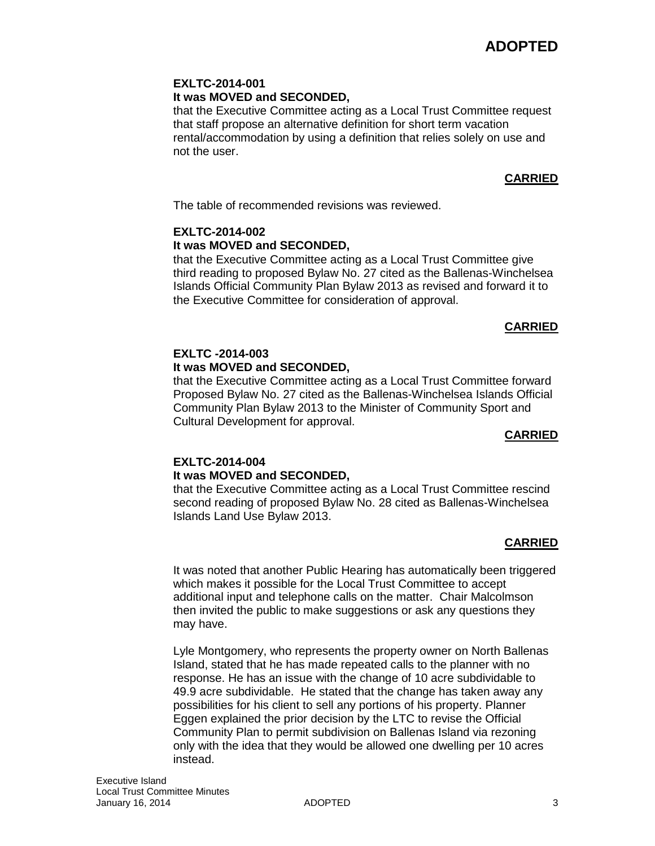#### **EXLTC-2014-001 It was MOVED and SECONDED,**

that the Executive Committee acting as a Local Trust Committee request that staff propose an alternative definition for short term vacation rental/accommodation by using a definition that relies solely on use and not the user.

# **CARRIED**

The table of recommended revisions was reviewed.

# **EXLTC-2014-002 It was MOVED and SECONDED,**

that the Executive Committee acting as a Local Trust Committee give third reading to proposed Bylaw No. 27 cited as the Ballenas-Winchelsea Islands Official Community Plan Bylaw 2013 as revised and forward it to the Executive Committee for consideration of approval.

# **CARRIED**

# **EXLTC -2014-003 It was MOVED and SECONDED,**

that the Executive Committee acting as a Local Trust Committee forward Proposed Bylaw No. 27 cited as the Ballenas-Winchelsea Islands Official Community Plan Bylaw 2013 to the Minister of Community Sport and Cultural Development for approval.

# **CARRIED**

# **EXLTC-2014-004 It was MOVED and SECONDED,**

that the Executive Committee acting as a Local Trust Committee rescind second reading of proposed Bylaw No. 28 cited as Ballenas-Winchelsea Islands Land Use Bylaw 2013.

# **CARRIED**

It was noted that another Public Hearing has automatically been triggered which makes it possible for the Local Trust Committee to accept additional input and telephone calls on the matter. Chair Malcolmson then invited the public to make suggestions or ask any questions they may have.

Lyle Montgomery, who represents the property owner on North Ballenas Island, stated that he has made repeated calls to the planner with no response. He has an issue with the change of 10 acre subdividable to 49.9 acre subdividable. He stated that the change has taken away any possibilities for his client to sell any portions of his property. Planner Eggen explained the prior decision by the LTC to revise the Official Community Plan to permit subdivision on Ballenas Island via rezoning only with the idea that they would be allowed one dwelling per 10 acres instead.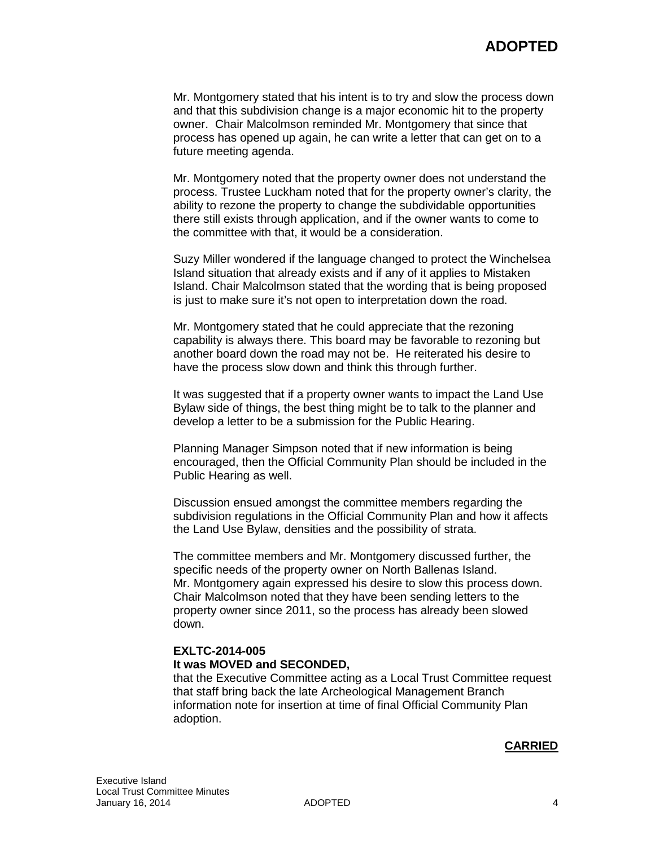Mr. Montgomery stated that his intent is to try and slow the process down and that this subdivision change is a major economic hit to the property owner. Chair Malcolmson reminded Mr. Montgomery that since that process has opened up again, he can write a letter that can get on to a future meeting agenda.

Mr. Montgomery noted that the property owner does not understand the process. Trustee Luckham noted that for the property owner's clarity, the ability to rezone the property to change the subdividable opportunities there still exists through application, and if the owner wants to come to the committee with that, it would be a consideration.

Suzy Miller wondered if the language changed to protect the Winchelsea Island situation that already exists and if any of it applies to Mistaken Island. Chair Malcolmson stated that the wording that is being proposed is just to make sure it's not open to interpretation down the road.

Mr. Montgomery stated that he could appreciate that the rezoning capability is always there. This board may be favorable to rezoning but another board down the road may not be. He reiterated his desire to have the process slow down and think this through further.

It was suggested that if a property owner wants to impact the Land Use Bylaw side of things, the best thing might be to talk to the planner and develop a letter to be a submission for the Public Hearing.

Planning Manager Simpson noted that if new information is being encouraged, then the Official Community Plan should be included in the Public Hearing as well.

Discussion ensued amongst the committee members regarding the subdivision regulations in the Official Community Plan and how it affects the Land Use Bylaw, densities and the possibility of strata.

The committee members and Mr. Montgomery discussed further, the specific needs of the property owner on North Ballenas Island. Mr. Montgomery again expressed his desire to slow this process down. Chair Malcolmson noted that they have been sending letters to the property owner since 2011, so the process has already been slowed down.

# **EXLTC-2014-005 It was MOVED and SECONDED,**

that the Executive Committee acting as a Local Trust Committee request that staff bring back the late Archeological Management Branch information note for insertion at time of final Official Community Plan adoption.

# **CARRIED**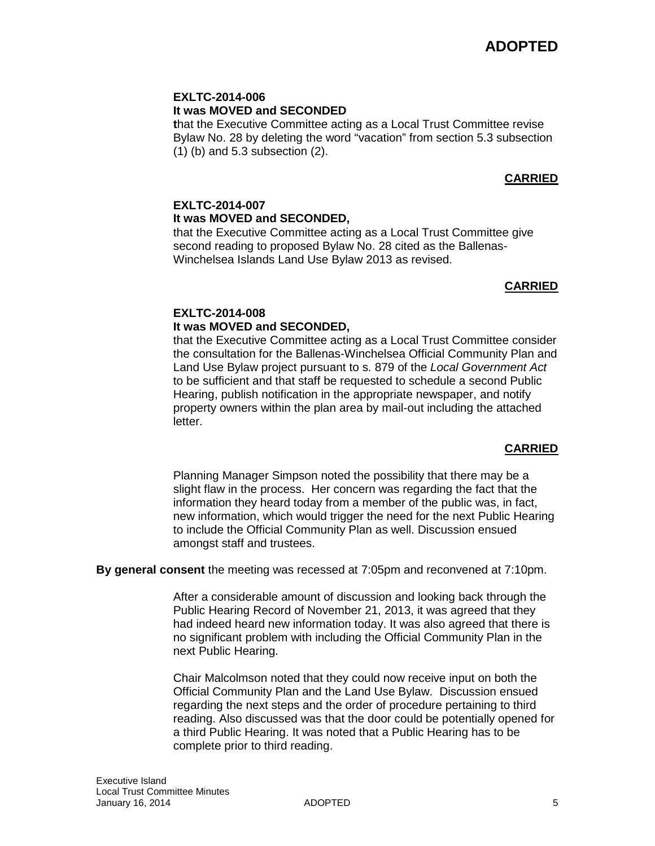# **EXLTC-2014-006 It was MOVED and SECONDED**

**t**hat the Executive Committee acting as a Local Trust Committee revise Bylaw No. 28 by deleting the word "vacation" from section 5.3 subsection (1) (b) and 5.3 subsection (2).

# **CARRIED**

# **EXLTC-2014-007 It was MOVED and SECONDED,**

that the Executive Committee acting as a Local Trust Committee give second reading to proposed Bylaw No. 28 cited as the Ballenas-Winchelsea Islands Land Use Bylaw 2013 as revised.

# **CARRIED**

#### **EXLTC-2014-008 It was MOVED and SECONDED,**

that the Executive Committee acting as a Local Trust Committee consider the consultation for the Ballenas-Winchelsea Official Community Plan and Land Use Bylaw project pursuant to s. 879 of the *Local Government Act* to be sufficient and that staff be requested to schedule a second Public Hearing, publish notification in the appropriate newspaper, and notify property owners within the plan area by mail-out including the attached letter.

# **CARRIED**

Planning Manager Simpson noted the possibility that there may be a slight flaw in the process. Her concern was regarding the fact that the information they heard today from a member of the public was, in fact, new information, which would trigger the need for the next Public Hearing to include the Official Community Plan as well. Discussion ensued amongst staff and trustees.

**By general consent** the meeting was recessed at 7:05pm and reconvened at 7:10pm.

After a considerable amount of discussion and looking back through the Public Hearing Record of November 21, 2013, it was agreed that they had indeed heard new information today. It was also agreed that there is no significant problem with including the Official Community Plan in the next Public Hearing.

Chair Malcolmson noted that they could now receive input on both the Official Community Plan and the Land Use Bylaw. Discussion ensued regarding the next steps and the order of procedure pertaining to third reading. Also discussed was that the door could be potentially opened for a third Public Hearing. It was noted that a Public Hearing has to be complete prior to third reading.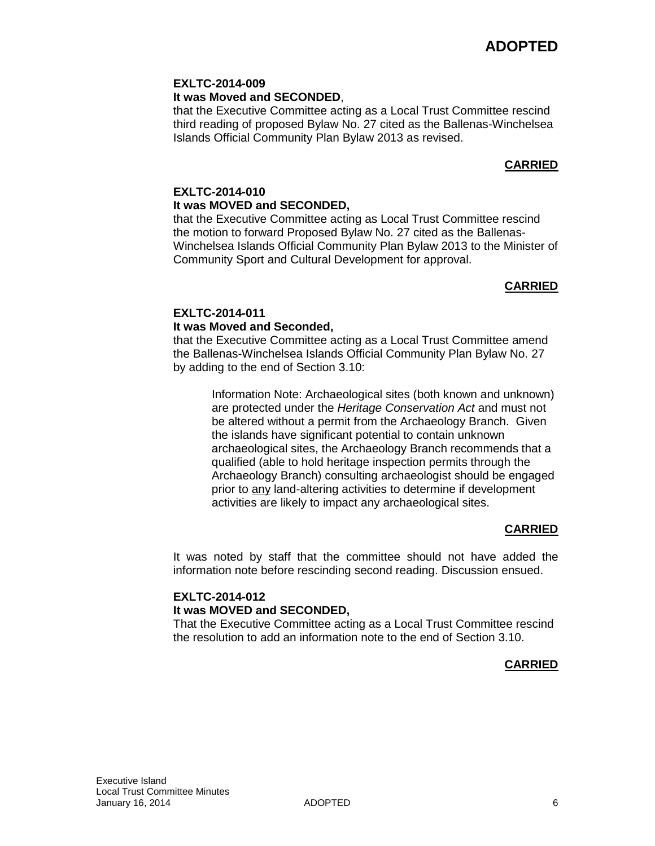## **EXLTC-2014-009**

#### **It was Moved and SECONDED**,

that the Executive Committee acting as a Local Trust Committee rescind third reading of proposed Bylaw No. 27 cited as the Ballenas-Winchelsea Islands Official Community Plan Bylaw 2013 as revised.

## **CARRIED**

# **EXLTC-2014-010 It was MOVED and SECONDED,**

that the Executive Committee acting as Local Trust Committee rescind the motion to forward Proposed Bylaw No. 27 cited as the Ballenas-Winchelsea Islands Official Community Plan Bylaw 2013 to the Minister of Community Sport and Cultural Development for approval.

### **CARRIED**

#### **EXLTC-2014-011 It was Moved and Seconded,**

# that the Executive Committee acting as a Local Trust Committee amend the Ballenas-Winchelsea Islands Official Community Plan Bylaw No. 27

by adding to the end of Section 3.10:

Information Note: Archaeological sites (both known and unknown) are protected under the *Heritage Conservation Act* and must not be altered without a permit from the Archaeology Branch. Given the islands have significant potential to contain unknown archaeological sites, the Archaeology Branch recommends that a qualified (able to hold heritage inspection permits through the Archaeology Branch) consulting archaeologist should be engaged prior to any land-altering activities to determine if development activities are likely to impact any archaeological sites.

# **CARRIED**

It was noted by staff that the committee should not have added the information note before rescinding second reading. Discussion ensued.

### **EXLTC-2014-012 It was MOVED and SECONDED,**

That the Executive Committee acting as a Local Trust Committee rescind the resolution to add an information note to the end of Section 3.10.

# **CARRIED**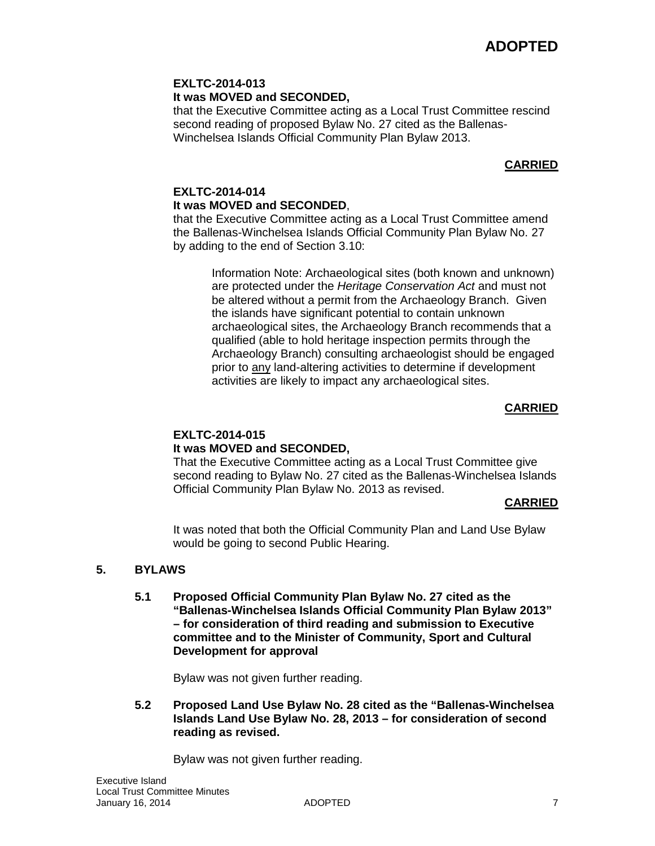# **EXLTC-2014-013 It was MOVED and SECONDED,**

that the Executive Committee acting as a Local Trust Committee rescind second reading of proposed Bylaw No. 27 cited as the Ballenas-Winchelsea Islands Official Community Plan Bylaw 2013.

# **CARRIED**

# **EXLTC-2014-014 It was MOVED and SECONDED**,

that the Executive Committee acting as a Local Trust Committee amend the Ballenas-Winchelsea Islands Official Community Plan Bylaw No. 27 by adding to the end of Section 3.10:

> Information Note: Archaeological sites (both known and unknown) are protected under the *Heritage Conservation Act* and must not be altered without a permit from the Archaeology Branch. Given the islands have significant potential to contain unknown archaeological sites, the Archaeology Branch recommends that a qualified (able to hold heritage inspection permits through the Archaeology Branch) consulting archaeologist should be engaged prior to any land-altering activities to determine if development activities are likely to impact any archaeological sites.

# **CARRIED**

# **EXLTC-2014-015 It was MOVED and SECONDED,**

That the Executive Committee acting as a Local Trust Committee give second reading to Bylaw No. 27 cited as the Ballenas-Winchelsea Islands Official Community Plan Bylaw No. 2013 as revised.

# **CARRIED**

It was noted that both the Official Community Plan and Land Use Bylaw would be going to second Public Hearing.

# **5. BYLAWS**

**5.1 Proposed Official Community Plan Bylaw No. 27 cited as the "Ballenas-Winchelsea Islands Official Community Plan Bylaw 2013" – for consideration of third reading and submission to Executive committee and to the Minister of Community, Sport and Cultural Development for approval**

Bylaw was not given further reading.

**5.2 Proposed Land Use Bylaw No. 28 cited as the "Ballenas-Winchelsea Islands Land Use Bylaw No. 28, 2013 – for consideration of second reading as revised.**

Bylaw was not given further reading.